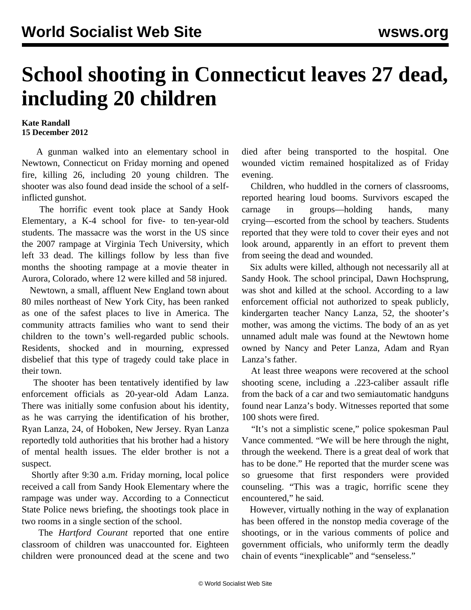## **School shooting in Connecticut leaves 27 dead, including 20 children**

## **Kate Randall 15 December 2012**

 A gunman walked into an elementary school in Newtown, Connecticut on Friday morning and opened fire, killing 26, including 20 young children. The shooter was also found dead inside the school of a selfinflicted gunshot.

 The horrific event took place at Sandy Hook Elementary, a K-4 school for five- to ten-year-old students. The massacre was the worst in the US since the 2007 rampage at Virginia Tech University, which left 33 dead. The killings follow by less than five months the shooting rampage at a movie theater in Aurora, Colorado, where 12 were killed and 58 injured.

 Newtown, a small, affluent New England town about 80 miles northeast of New York City, has been ranked as one of the safest places to live in America. The community attracts families who want to send their children to the town's well-regarded public schools. Residents, shocked and in mourning, expressed disbelief that this type of tragedy could take place in their town.

 The shooter has been tentatively identified by law enforcement officials as 20-year-old Adam Lanza. There was initially some confusion about his identity, as he was carrying the identification of his brother, Ryan Lanza, 24, of Hoboken, New Jersey. Ryan Lanza reportedly told authorities that his brother had a history of mental health issues. The elder brother is not a suspect.

 Shortly after 9:30 a.m. Friday morning, local police received a call from Sandy Hook Elementary where the rampage was under way. According to a Connecticut State Police news briefing, the shootings took place in two rooms in a single section of the school.

 The *Hartford Courant* reported that one entire classroom of children was unaccounted for. Eighteen children were pronounced dead at the scene and two died after being transported to the hospital. One wounded victim remained hospitalized as of Friday evening.

 Children, who huddled in the corners of classrooms, reported hearing loud booms. Survivors escaped the carnage in groups—holding hands, many crying—escorted from the school by teachers. Students reported that they were told to cover their eyes and not look around, apparently in an effort to prevent them from seeing the dead and wounded.

 Six adults were killed, although not necessarily all at Sandy Hook. The school principal, Dawn Hochsprung, was shot and killed at the school. According to a law enforcement official not authorized to speak publicly, kindergarten teacher Nancy Lanza, 52, the shooter's mother, was among the victims. The body of an as yet unnamed adult male was found at the Newtown home owned by Nancy and Peter Lanza, Adam and Ryan Lanza's father.

 At least three weapons were recovered at the school shooting scene, including a .223-caliber assault rifle from the back of a car and two semiautomatic handguns found near Lanza's body. Witnesses reported that some 100 shots were fired.

 "It's not a simplistic scene," police spokesman Paul Vance commented. "We will be here through the night, through the weekend. There is a great deal of work that has to be done." He reported that the murder scene was so gruesome that first responders were provided counseling. "This was a tragic, horrific scene they encountered," he said.

 However, virtually nothing in the way of explanation has been offered in the nonstop media coverage of the shootings, or in the various comments of police and government officials, who uniformly term the deadly chain of events "inexplicable" and "senseless."